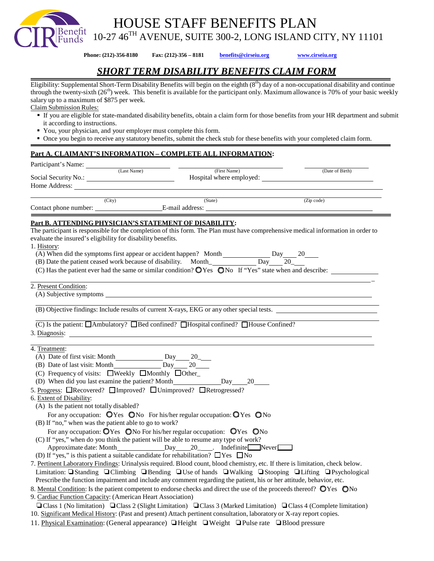HOUSE STAFF BENEFITS PLAN

Benefit<br>Funds 10-27 46TH AVENUE, SUITE 300-2, LONG ISLAND CITY, NY 11101

**Phone: (212)-356-8180 Fax: (212)-356 – 8181 [benefits@cirseiu.org](mailto:benefits@cirseiu.org) [www.cirseiu.org](http://www.cirseiu.org/)**

*SHORT TERM DISABILITY BENEFITS CLAIM FORM*

Eligibility: Supplemental Short-Term Disability Benefits will begin on the eighth  $(8<sup>th</sup>)$  day of a non-occupational disability and continue through the twenty-sixth  $(26<sup>th</sup>)$  week. This benefit is available for the participant only. Maximum allowance is 70% of your basic weekly salary up to a maximum of \$875 per week.

Claim Submission Rules:

- If you are eligible for state-mandated disability benefits, obtain a claim form for those benefits from your HR department and submit it according to instructions.
- You, your physician, and your employer must complete this form.
- Once you begin to receive any statutory benefits, submit the check stub for these benefits with your completed claim form.

## **Part A. CLAIMANT'S INFORMATION – COMPLETE ALL INFORMATION:**

| Participant's Name:                                                                                                                               |              |                                                                                                                       |
|---------------------------------------------------------------------------------------------------------------------------------------------------|--------------|-----------------------------------------------------------------------------------------------------------------------|
| (Last Name)                                                                                                                                       | (First Name) | (Date of Birth)                                                                                                       |
|                                                                                                                                                   |              | Hospital where employed:                                                                                              |
|                                                                                                                                                   |              |                                                                                                                       |
| (City)                                                                                                                                            | (State)      | (Zip code)<br>an T                                                                                                    |
|                                                                                                                                                   |              |                                                                                                                       |
| Part B. ATTENDING PHYSICIAN'S STATEMENT OF DISABILITY:                                                                                            |              |                                                                                                                       |
| The participant is responsible for the completion of this form. The Plan must have comprehensive medical information in order to                  |              |                                                                                                                       |
| evaluate the insured's eligibility for disability benefits.                                                                                       |              |                                                                                                                       |
| 1. History:                                                                                                                                       |              |                                                                                                                       |
|                                                                                                                                                   |              |                                                                                                                       |
|                                                                                                                                                   |              |                                                                                                                       |
| (C) Has the patient ever had the same or similar condition? $\mathbb{Q}$ Yes $\mathbb{Q}$ No If "Yes" state when and describe:                    |              |                                                                                                                       |
|                                                                                                                                                   |              |                                                                                                                       |
| 2. Present Condition:                                                                                                                             |              |                                                                                                                       |
|                                                                                                                                                   |              |                                                                                                                       |
|                                                                                                                                                   |              |                                                                                                                       |
| (B) Objective findings: Include results of current X-rays, EKG or any other special tests.                                                        |              |                                                                                                                       |
|                                                                                                                                                   |              | <u> 1989 - Johann Barn, mars ann an t-Amhain an t-Amhain an t-Amhain an t-Amhain an t-Amhain an t-Amhain an t-Amh</u> |
| $\overline{(C)}$ Is the patient: $\Box$ Ambulatory? $\Box$ Bed confined? $\Box$ Hospital confined? $\Box$ House Confined?                         |              |                                                                                                                       |
| 3. Diagnosis:                                                                                                                                     |              |                                                                                                                       |
|                                                                                                                                                   |              |                                                                                                                       |
| 4. Treatment:                                                                                                                                     |              |                                                                                                                       |
|                                                                                                                                                   |              |                                                                                                                       |
| (C) Frequency of visits: $\Box$ Weekly $\Box$ Monthly $\Box$ Other                                                                                |              |                                                                                                                       |
|                                                                                                                                                   |              |                                                                                                                       |
|                                                                                                                                                   |              |                                                                                                                       |
| 5. Progress: ORecovered? OImproved? OUnimproved? ORetrogressed?                                                                                   |              |                                                                                                                       |
| 6. Extent of Disability:                                                                                                                          |              |                                                                                                                       |
| (A) Is the patient not totally disabled?                                                                                                          |              |                                                                                                                       |
| For any occupation: $QYes$ $QNo$ For his/her regular occupation: $QYes$ $QNo$                                                                     |              |                                                                                                                       |
| (B) If "no," when was the patient able to go to work?                                                                                             |              |                                                                                                                       |
| For any occupation: OYes ONo For his/her regular occupation: OYes ONo                                                                             |              |                                                                                                                       |
| (C) If "yes," when do you think the patient will be able to resume any type of work?                                                              |              |                                                                                                                       |
| Approximate date: Month__________________Day_____20______. Indefinite___Never____                                                                 |              |                                                                                                                       |
| (D) If "yes," is this patient a suitable candidate for rehabilitation? $\Box$ Yes $\Box$ No                                                       |              |                                                                                                                       |
| 7. Pertinent Laboratory Findings: Urinalysis required. Blood count, blood chemistry, etc. If there is limitation, check below.                    |              |                                                                                                                       |
| Limitation: $\Box$ Standing $\Box$ Climbing $\Box$ Bending $\Box$ Use of hands $\Box$ Walking $\Box$ Stooping $\Box$ Lifting $\Box$ Psychological |              |                                                                                                                       |
| Prescribe the function impairment and include any comment regarding the patient, his or her attitude, behavior, etc.                              |              |                                                                                                                       |
| 8. Mental Condition: Is the patient competent to endorse checks and direct the use of the proceeds thereof? OYes ONo                              |              |                                                                                                                       |
| 9. Cardiac Function Capacity: (American Heart Association)                                                                                        |              |                                                                                                                       |
| $\Box$ Class 1 (No limitation) $\Box$ Class 2 (Slight Limitation) $\Box$ Class 3 (Marked Limitation) $\Box$ Class 4 (Complete limitation)         |              |                                                                                                                       |
| 10. Significant Medical History: (Past and present) Attach pertinent consultation, laboratory or X-ray report copies.                             |              |                                                                                                                       |

11. Physical Examination: (General appearance) ❏Height ❏Weight ❏Pulse rate ❏Blood pressure